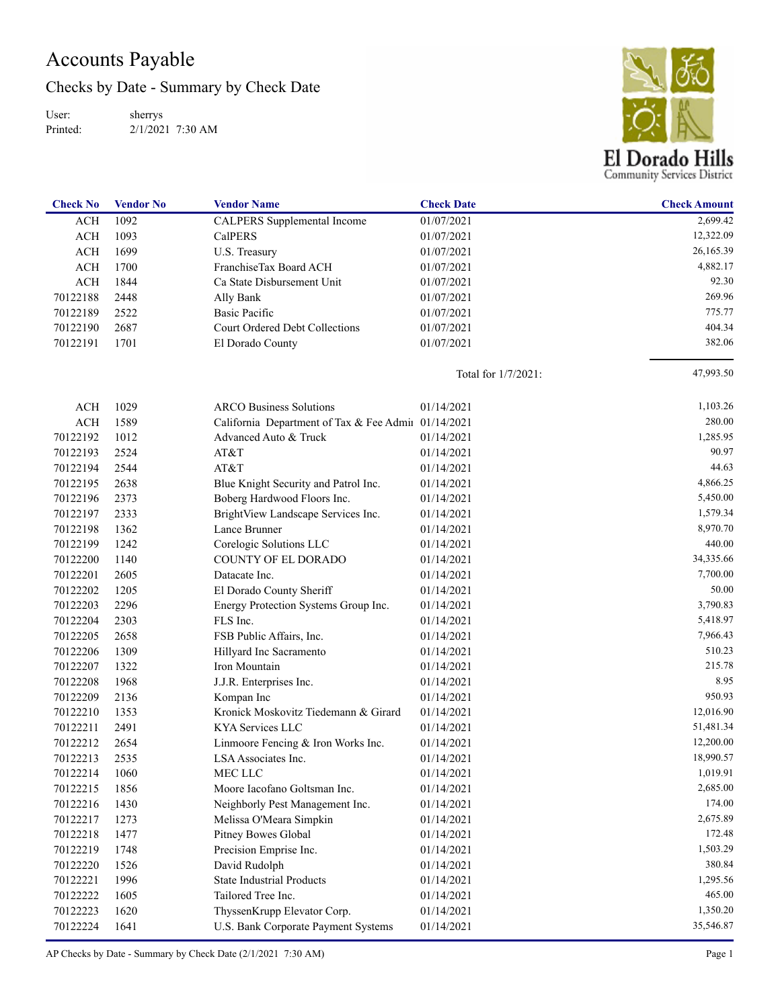## Accounts Payable

Checks by Date - Summary by Check Date

User: Printed: sherrys 2/1/2021 7:30 AM



| <b>Check No</b> | <b>Vendor No</b> | <b>Vendor Name</b>                                  | <b>Check Date</b>   | <b>Check Amount</b> |
|-----------------|------------------|-----------------------------------------------------|---------------------|---------------------|
| <b>ACH</b>      | 1092             | <b>CALPERS</b> Supplemental Income                  | 01/07/2021          | 2,699.42            |
| <b>ACH</b>      | 1093             | <b>CalPERS</b>                                      | 01/07/2021          | 12,322.09           |
| <b>ACH</b>      | 1699             | U.S. Treasury                                       | 01/07/2021          | 26,165.39           |
| <b>ACH</b>      | 1700             | FranchiseTax Board ACH                              | 01/07/2021          | 4,882.17            |
| <b>ACH</b>      | 1844             | Ca State Disbursement Unit                          | 01/07/2021          | 92.30               |
| 70122188        | 2448             | Ally Bank                                           | 01/07/2021          | 269.96              |
| 70122189        | 2522             | Basic Pacific                                       | 01/07/2021          | 775.77              |
| 70122190        | 2687             | Court Ordered Debt Collections                      | 01/07/2021          | 404.34              |
| 70122191        | 1701             | El Dorado County                                    | 01/07/2021          | 382.06              |
|                 |                  |                                                     | Total for 1/7/2021: | 47,993.50           |
| ACH             | 1029             | <b>ARCO Business Solutions</b>                      | 01/14/2021          | 1,103.26            |
| <b>ACH</b>      | 1589             | California Department of Tax & Fee Admin 01/14/2021 |                     | 280.00              |
| 70122192        | 1012             | Advanced Auto & Truck                               | 01/14/2021          | 1,285.95            |
| 70122193        | 2524             | AT&T                                                | 01/14/2021          | 90.97               |
| 70122194        | 2544             | AT&T                                                | 01/14/2021          | 44.63               |
| 70122195        | 2638             | Blue Knight Security and Patrol Inc.                | 01/14/2021          | 4,866.25            |
| 70122196        | 2373             | Boberg Hardwood Floors Inc.                         | 01/14/2021          | 5,450.00            |
| 70122197        | 2333             | BrightView Landscape Services Inc.                  | 01/14/2021          | 1,579.34            |
| 70122198        | 1362             | Lance Brunner                                       | 01/14/2021          | 8,970.70            |
| 70122199        | 1242             | Corelogic Solutions LLC                             | 01/14/2021          | 440.00              |
| 70122200        | 1140             | COUNTY OF EL DORADO                                 | 01/14/2021          | 34,335.66           |
| 70122201        | 2605             | Datacate Inc.                                       | 01/14/2021          | 7,700.00            |
| 70122202        | 1205             | El Dorado County Sheriff                            | 01/14/2021          | 50.00               |
| 70122203        | 2296             | Energy Protection Systems Group Inc.                | 01/14/2021          | 3,790.83            |
| 70122204        | 2303             | FLS Inc.                                            | 01/14/2021          | 5,418.97            |
| 70122205        | 2658             | FSB Public Affairs, Inc.                            | 01/14/2021          | 7,966.43            |
| 70122206        | 1309             | Hillyard Inc Sacramento                             | 01/14/2021          | 510.23              |
| 70122207        | 1322             | Iron Mountain                                       | 01/14/2021          | 215.78              |
| 70122208        | 1968             | J.J.R. Enterprises Inc.                             | 01/14/2021          | 8.95                |
| 70122209        | 2136             | Kompan Inc                                          | 01/14/2021          | 950.93              |
| 70122210        | 1353             | Kronick Moskovitz Tiedemann & Girard                | 01/14/2021          | 12,016.90           |
| 70122211        | 2491             | KYA Services LLC                                    | 01/14/2021          | 51,481.34           |
| 70122212        | 2654             | Linmoore Fencing & Iron Works Inc.                  | 01/14/2021          | 12,200.00           |
| 70122213        | 2535             | LSA Associates Inc.                                 | 01/14/2021          | 18,990.57           |
| 70122214        | 1060             | MEC LLC                                             | 01/14/2021          | 1,019.91            |
| 70122215        | 1856             | Moore Iacofano Goltsman Inc.                        | 01/14/2021          | 2,685.00            |
| 70122216        | 1430             | Neighborly Pest Management Inc.                     | 01/14/2021          | 174.00              |
| 70122217        | 1273             | Melissa O'Meara Simpkin                             | 01/14/2021          | 2,675.89            |
| 70122218        | 1477             | Pitney Bowes Global                                 | 01/14/2021          | 172.48              |
| 70122219        | 1748             | Precision Emprise Inc.                              | 01/14/2021          | 1,503.29            |
| 70122220        | 1526             | David Rudolph                                       | 01/14/2021          | 380.84              |
| 70122221        | 1996             | <b>State Industrial Products</b>                    | 01/14/2021          | 1,295.56            |
| 70122222        | 1605             | Tailored Tree Inc.                                  | 01/14/2021          | 465.00              |
| 70122223        | 1620             | ThyssenKrupp Elevator Corp.                         | 01/14/2021          | 1,350.20            |
| 70122224        | 1641             | U.S. Bank Corporate Payment Systems                 | 01/14/2021          | 35,546.87           |

AP Checks by Date - Summary by Check Date (2/1/2021 7:30 AM) Page 1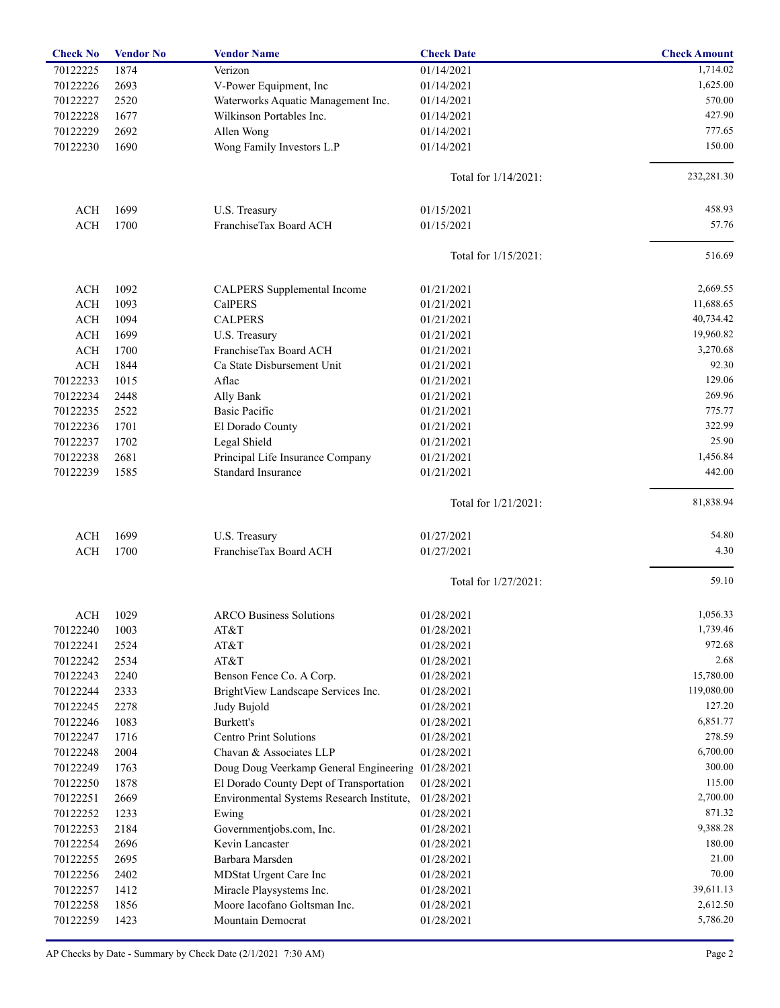| <b>Check No</b> | <b>Vendor No</b> | <b>Vendor Name</b>                                | <b>Check Date</b>       | <b>Check Amount</b> |
|-----------------|------------------|---------------------------------------------------|-------------------------|---------------------|
| 70122225        | 1874             | Verizon                                           | 01/14/2021              | 1,714.02            |
| 70122226        | 2693             | V-Power Equipment, Inc                            | 01/14/2021              | 1,625.00            |
| 70122227        | 2520             | Waterworks Aquatic Management Inc.                | 01/14/2021              | 570.00              |
| 70122228        | 1677             | Wilkinson Portables Inc.                          | 01/14/2021              | 427.90              |
| 70122229        | 2692             | Allen Wong                                        | 01/14/2021              | 777.65              |
| 70122230        | 1690             | Wong Family Investors L.P                         | 01/14/2021              | 150.00              |
|                 |                  |                                                   | Total for $1/14/2021$ : | 232,281.30          |
|                 |                  |                                                   |                         |                     |
| ACH             | 1699             | U.S. Treasury                                     | 01/15/2021              | 458.93              |
| <b>ACH</b>      | 1700             | FranchiseTax Board ACH                            | 01/15/2021              | 57.76               |
|                 |                  |                                                   | Total for 1/15/2021:    | 516.69              |
| ACH             | 1092             | CALPERS Supplemental Income                       | 01/21/2021              | 2,669.55            |
| <b>ACH</b>      | 1093             | <b>CalPERS</b>                                    | 01/21/2021              | 11,688.65           |
| ACH             | 1094             | <b>CALPERS</b>                                    | 01/21/2021              | 40,734.42           |
| <b>ACH</b>      | 1699             | U.S. Treasury                                     | 01/21/2021              | 19,960.82           |
| ACH             | 1700             | FranchiseTax Board ACH                            | 01/21/2021              | 3,270.68            |
| <b>ACH</b>      | 1844             | Ca State Disbursement Unit                        | 01/21/2021              | 92.30               |
| 70122233        | 1015             | Aflac                                             | 01/21/2021              | 129.06              |
| 70122234        | 2448             | Ally Bank                                         | 01/21/2021              | 269.96              |
| 70122235        | 2522             | <b>Basic Pacific</b>                              | 01/21/2021              | 775.77              |
| 70122236        | 1701             | El Dorado County                                  | 01/21/2021              | 322.99              |
|                 | 1702             |                                                   | 01/21/2021              | 25.90               |
| 70122237        |                  | Legal Shield                                      |                         |                     |
| 70122238        | 2681             | Principal Life Insurance Company                  | 01/21/2021              | 1,456.84            |
| 70122239        | 1585             | <b>Standard Insurance</b>                         | 01/21/2021              | 442.00              |
|                 |                  |                                                   | Total for 1/21/2021:    | 81,838.94           |
| <b>ACH</b>      | 1699             | U.S. Treasury                                     | 01/27/2021              | 54.80               |
| <b>ACH</b>      | 1700             | FranchiseTax Board ACH                            | 01/27/2021              | 4.30                |
|                 |                  |                                                   | Total for 1/27/2021:    | 59.10               |
| ACH             | 1029             | <b>ARCO Business Solutions</b>                    | 01/28/2021              | 1,056.33            |
| 70122240        | 1003             | AT&T                                              | 01/28/2021              | 1,739.46            |
| 70122241        | 2524             | AT&T                                              | 01/28/2021              | 972.68              |
| 70122242        | 2534             | AT&T                                              | 01/28/2021              | 2.68                |
| 70122243        | 2240             | Benson Fence Co. A Corp.                          | 01/28/2021              | 15,780.00           |
| 70122244        | 2333             | BrightView Landscape Services Inc.                | 01/28/2021              | 119,080.00          |
| 70122245        | 2278             | Judy Bujold                                       | 01/28/2021              | 127.20              |
| 70122246        | 1083             | Burkett's                                         | 01/28/2021              | 6,851.77            |
|                 |                  | <b>Centro Print Solutions</b>                     |                         | 278.59              |
| 70122247        | 1716             |                                                   | 01/28/2021              | 6,700.00            |
| 70122248        | 2004             | Chavan & Associates LLP                           | 01/28/2021              |                     |
| 70122249        | 1763             | Doug Doug Veerkamp General Engineering 01/28/2021 |                         | 300.00              |
| 70122250        | 1878             | El Dorado County Dept of Transportation           | 01/28/2021              | 115.00              |
| 70122251        | 2669             | Environmental Systems Research Institute,         | 01/28/2021              | 2,700.00            |
| 70122252        | 1233             | Ewing                                             | 01/28/2021              | 871.32              |
| 70122253        | 2184             | Governmentjobs.com, Inc.                          | 01/28/2021              | 9,388.28            |
| 70122254        | 2696             | Kevin Lancaster                                   | 01/28/2021              | 180.00              |
| 70122255        | 2695             | Barbara Marsden                                   | 01/28/2021              | 21.00               |
| 70122256        | 2402             | MDStat Urgent Care Inc                            | 01/28/2021              | 70.00               |
| 70122257        | 1412             | Miracle Playsystems Inc.                          | 01/28/2021              | 39,611.13           |
| 70122258        | 1856             | Moore Iacofano Goltsman Inc.                      | 01/28/2021              | 2,612.50            |
| 70122259        | 1423             | Mountain Democrat                                 | 01/28/2021              | 5,786.20            |
|                 |                  |                                                   |                         |                     |